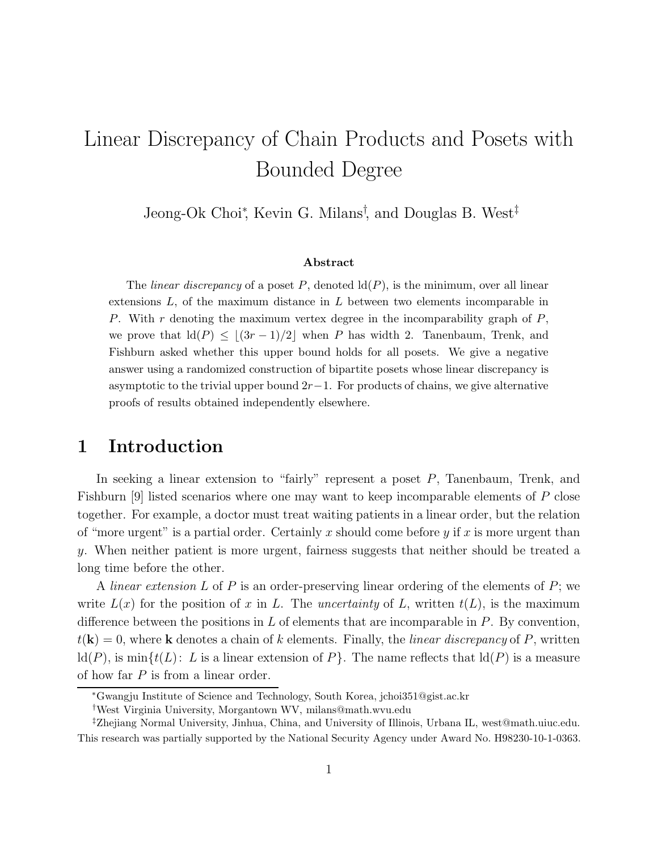## Linear Discrepancy of Chain Products and Posets with Bounded Degree

Jeong-Ok Choi<sup>∗</sup> , Kevin G. Milans† , and Douglas B. West‡

#### Abstract

The *linear discrepancy* of a poset P, denoted  $ld(P)$ , is the minimum, over all linear extensions  $L$ , of the maximum distance in  $L$  between two elements incomparable in P. With  $r$  denoting the maximum vertex degree in the incomparability graph of  $P$ , we prove that  $\mathrm{Id}(P) \leq |(3r-1)/2|$  when P has width 2. Tanenbaum, Trenk, and Fishburn asked whether this upper bound holds for all posets. We give a negative answer using a randomized construction of bipartite posets whose linear discrepancy is asymptotic to the trivial upper bound  $2r-1$ . For products of chains, we give alternative proofs of results obtained independently elsewhere.

#### 1 Introduction

In seeking a linear extension to "fairly" represent a poset P, Tanenbaum, Trenk, and Fishburn [9] listed scenarios where one may want to keep incomparable elements of P close together. For example, a doctor must treat waiting patients in a linear order, but the relation of "more urgent" is a partial order. Certainly x should come before  $y$  if x is more urgent than y. When neither patient is more urgent, fairness suggests that neither should be treated a long time before the other.

A *linear extension* L of P is an order-preserving linear ordering of the elements of P; we write  $L(x)$  for the position of x in L. The uncertainty of L, written  $t(L)$ , is the maximum difference between the positions in  $L$  of elements that are incomparable in  $P$ . By convention,  $t(\mathbf{k}) = 0$ , where **k** denotes a chain of k elements. Finally, the *linear discrepancy* of P, written  $ld(P)$ , is min $\{t(L): L$  is a linear extension of P. The name reflects that  $ld(P)$  is a measure of how far  $P$  is from a linear order.

<sup>∗</sup>Gwangju Institute of Science and Technology, South Korea, jchoi351@gist.ac.kr

<sup>†</sup>West Virginia University, Morgantown WV, milans@math.wvu.edu

<sup>‡</sup>Zhejiang Normal University, Jinhua, China, and University of Illinois, Urbana IL, west@math.uiuc.edu. This research was partially supported by the National Security Agency under Award No. H98230-10-1-0363.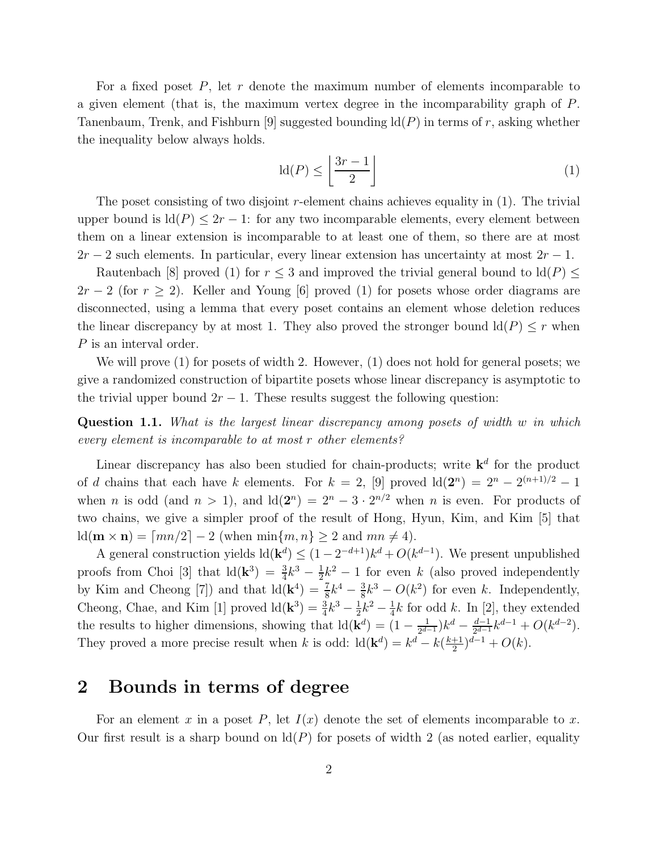For a fixed poset  $P$ , let  $r$  denote the maximum number of elements incomparable to a given element (that is, the maximum vertex degree in the incomparability graph of P. Tanenbaum, Trenk, and Fishburn [9] suggested bounding  $ld(P)$  in terms of r, asking whether the inequality below always holds.

$$
\operatorname{ld}(P) \le \left\lfloor \frac{3r - 1}{2} \right\rfloor \tag{1}
$$

The poset consisting of two disjoint r-element chains achieves equality in  $(1)$ . The trivial upper bound is  $\text{Id}(P) \leq 2r - 1$ : for any two incomparable elements, every element between them on a linear extension is incomparable to at least one of them, so there are at most  $2r - 2$  such elements. In particular, every linear extension has uncertainty at most  $2r - 1$ .

Rautenbach [8] proved (1) for  $r \leq 3$  and improved the trivial general bound to  $\text{Id}(P) \leq$  $2r - 2$  (for  $r \ge 2$ ). Keller and Young [6] proved (1) for posets whose order diagrams are disconnected, using a lemma that every poset contains an element whose deletion reduces the linear discrepancy by at most 1. They also proved the stronger bound  $\mathrm{Id}(P) \leq r$  when P is an interval order.

We will prove (1) for posets of width 2. However, (1) does not hold for general posets; we give a randomized construction of bipartite posets whose linear discrepancy is asymptotic to the trivial upper bound  $2r - 1$ . These results suggest the following question:

Question 1.1. What is the largest linear discrepancy among posets of width w in which every element is incomparable to at most r other elements?

Linear discrepancy has also been studied for chain-products; write  $\mathbf{k}^d$  for the product of d chains that each have k elements. For  $k = 2$ , [9] proved  $ld(2^n) = 2^n - 2^{(n+1)/2} - 1$ when *n* is odd (and  $n > 1$ ), and  $ld(2^n) = 2^n - 3 \cdot 2^{n/2}$  when *n* is even. For products of two chains, we give a simpler proof of the result of Hong, Hyun, Kim, and Kim [5] that  $\text{ld}(\mathbf{m} \times \mathbf{n}) = \lceil mn/2 \rceil - 2$  (when  $\min\{m, n\} \geq 2$  and  $mn \neq 4$ ).

A general construction yields  $\text{Id}(\mathbf{k}^d) \leq (1 - 2^{-d+1})k^d + O(k^{d-1})$ . We present unpublished proofs from Choi [3] that  $ld(\mathbf{k}^3) = \frac{3}{4}k^3 - \frac{1}{2}$  $\frac{1}{2}k^2-1$  for even k (also proved independently by Kim and Cheong [7]) and that  $ld(\mathbf{k}^4) = \frac{7}{8}k^4 - \frac{3}{8}$  $\frac{3}{8}k^3 - O(k^2)$  for even k. Independently, Cheong, Chae, and Kim [1] proved  $ld(\mathbf{k}^3) = \frac{3}{4}k^3 - \frac{1}{2}$  $\frac{1}{2}k^2 - \frac{1}{4}$  $\frac{1}{4}k$  for odd k. In [2], they extended the results to higher dimensions, showing that  $\text{Id}(\mathbf{k}^d) = (1 - \frac{1}{2^{d-1}})$  $\frac{1}{2^{d-1}}$ ) $k^d - \frac{d-1}{2^{d-1}}$  $\frac{d-1}{2^{d-1}}k^{d-1} + O(k^{d-2}).$ They proved a more precise result when k is odd:  $\text{Id}(\mathbf{k}^d) = k^d - k\left(\frac{k+1}{2}\right)$  $\frac{+1}{2}$ )<sup>d-1</sup> + O(k).

#### 2 Bounds in terms of degree

For an element x in a poset P, let  $I(x)$  denote the set of elements incomparable to x. Our first result is a sharp bound on  $\text{Id}(P)$  for posets of width 2 (as noted earlier, equality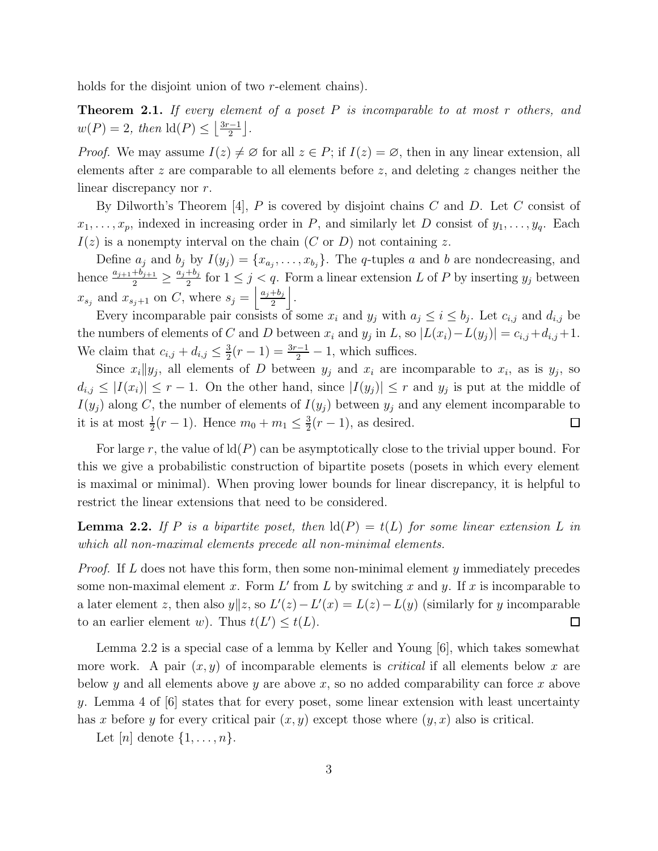holds for the disjoint union of two r-element chains).

**Theorem 2.1.** If every element of a poset  $P$  is incomparable to at most  $r$  others, and  $w(P) = 2$ , then  $\text{ld}(P) \leq \left\lfloor \frac{3r-1}{2} \right\rfloor$  $\frac{-1}{2}$ .

*Proof.* We may assume  $I(z) \neq \emptyset$  for all  $z \in P$ ; if  $I(z) = \emptyset$ , then in any linear extension, all elements after z are comparable to all elements before z, and deleting z changes neither the linear discrepancy nor r.

By Dilworth's Theorem  $[4]$ , P is covered by disjoint chains C and D. Let C consist of  $x_1, \ldots, x_p$ , indexed in increasing order in P, and similarly let D consist of  $y_1, \ldots, y_q$ . Each  $I(z)$  is a nonempty interval on the chain  $(C \text{ or } D)$  not containing z.

Define  $a_j$  and  $b_j$  by  $I(y_j) = \{x_{a_j}, \ldots, x_{b_j}\}$ . The q-tuples a and b are nondecreasing, and hence  $\frac{a_{j+1}+b_{j+1}}{2} \ge \frac{a_j+b_j}{2}$  $\frac{+b_j}{2}$  for  $1 \leq j < q$ . Form a linear extension L of P by inserting  $y_j$  between  $x_{s_j}$  and  $x_{s_j+1}$  on C, where  $s_j = \left\lfloor \frac{a_j+b_j}{2} \right\rfloor$  $\frac{+b_j}{2}$ .

Every incomparable pair consists of some  $x_i$  and  $y_j$  with  $a_j \leq i \leq b_j$ . Let  $c_{i,j}$  and  $d_{i,j}$  be the numbers of elements of C and D between  $x_i$  and  $y_j$  in L, so  $|L(x_i) - L(y_j)| = c_{i,j} + d_{i,j} + 1$ . We claim that  $c_{i,j} + d_{i,j} \leq \frac{3}{2}$  $\frac{3}{2}(r-1) = \frac{3r-1}{2} - 1$ , which suffices.

Since  $x_i||y_j$ , all elements of D between  $y_j$  and  $x_i$  are incomparable to  $x_i$ , as is  $y_j$ , so  $d_{i,j} \leq |I(x_i)| \leq r-1$ . On the other hand, since  $|I(y_j)| \leq r$  and  $y_j$  is put at the middle of  $I(y_j)$  along C, the number of elements of  $I(y_j)$  between  $y_j$  and any element incomparable to it is at most  $\frac{1}{2}(r-1)$ . Hence  $m_0 + m_1 \leq \frac{3}{2}$  $\frac{3}{2}(r-1)$ , as desired.  $\Box$ 

For large r, the value of  $ld(P)$  can be asymptotically close to the trivial upper bound. For this we give a probabilistic construction of bipartite posets (posets in which every element is maximal or minimal). When proving lower bounds for linear discrepancy, it is helpful to restrict the linear extensions that need to be considered.

**Lemma 2.2.** If P is a bipartite poset, then  $\text{Id}(P) = t(L)$  for some linear extension L in which all non-maximal elements precede all non-minimal elements.

*Proof.* If  $L$  does not have this form, then some non-minimal element  $y$  immediately precedes some non-maximal element x. Form  $L'$  from  $L$  by switching x and y. If x is incomparable to a later element z, then also  $y||z$ , so  $L'(z) - L'(x) = L(z) - L(y)$  (similarly for y incomparable to an earlier element w). Thus  $t(L') \leq t(L)$ .  $\Box$ 

Lemma 2.2 is a special case of a lemma by Keller and Young [6], which takes somewhat more work. A pair  $(x, y)$  of incomparable elements is *critical* if all elements below x are below y and all elements above y are above x, so no added comparability can force x above y. Lemma 4 of  $[6]$  states that for every poset, some linear extension with least uncertainty has x before y for every critical pair  $(x, y)$  except those where  $(y, x)$  also is critical.

Let  $[n]$  denote  $\{1, \ldots, n\}$ .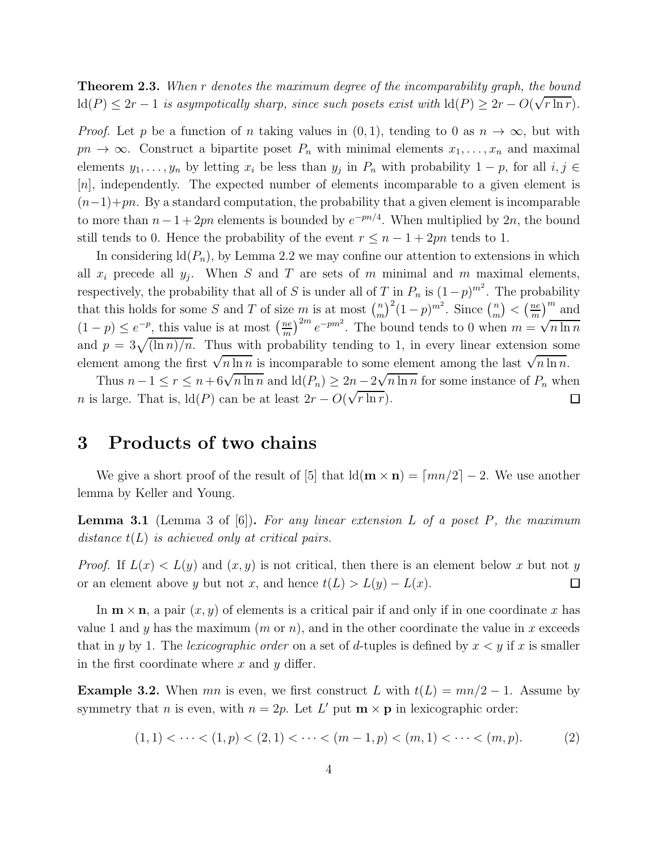**Theorem 2.3.** When r denotes the maximum degree of the incomparability graph, the bound  $\text{Id}(P) \leq 2r - 1$  is asympotically sharp, since such posets exist with  $\text{Id}(P) \geq 2r - O(\sqrt{r \ln r})$ .

*Proof.* Let p be a function of n taking values in  $(0, 1)$ , tending to 0 as  $n \to \infty$ , but with  $pn \to \infty$ . Construct a bipartite poset  $P_n$  with minimal elements  $x_1, \ldots, x_n$  and maximal elements  $y_1, \ldots, y_n$  by letting  $x_i$  be less than  $y_j$  in  $P_n$  with probability  $1 - p$ , for all  $i, j \in$ [n], independently. The expected number of elements incomparable to a given element is  $(n-1)+pn$ . By a standard computation, the probability that a given element is incomparable to more than  $n-1+2pn$  elements is bounded by  $e^{-pn/4}$ . When multiplied by  $2n$ , the bound still tends to 0. Hence the probability of the event  $r \leq n - 1 + 2pn$  tends to 1.

In considering  $ld(P_n)$ , by Lemma 2.2 we may confine our attention to extensions in which all  $x_i$  precede all  $y_j$ . When S and T are sets of m minimal and m maximal elements, respectively, the probability that all of S is under all of T in  $P_n$  is  $(1-p)^{m^2}$ . The probability that this holds for some S and T of size m is at most  $\binom{n}{m}$  $\binom{n}{m}^2(1-p)^{m^2}$ . Since  $\binom{n}{m}$  $\binom{n}{m}<\left(\frac{ne}{m}\right)$  $\frac{ne}{m}$ <sup>m</sup> and  $(1-p) \leq e^{-p}$ , this value is at most  $\left(\frac{ne}{m}\right)$  $\binom{me}{m}^{2m} e^{-pm^2}$ . The bound tends to 0 when  $m = \sqrt{n \ln n}$ and  $p = 3\sqrt{\ln n}/n$ . Thus with probability tending to 1, in every linear extension some element among the first  $\sqrt{n \ln n}$  is incomparable to some element among the last  $\sqrt{n \ln n}$ .

Thus  $n-1 \le r \le n+6\sqrt{n \ln n}$  and  $\operatorname{ld}(P_n) \ge 2n-2\sqrt{n \ln n}$  for some instance of  $P_n$  when *n* is large. That is,  $\overline{ld(P)}$  can be at least  $2r - O(\sqrt{r \ln r})$ .  $\Box$ 

#### 3 Products of two chains

We give a short proof of the result of [5] that  $\text{Id}(\mathbf{m} \times \mathbf{n}) = \lceil mn/2 \rceil - 2$ . We use another lemma by Keller and Young.

**Lemma 3.1** (Lemma 3 of [6]). For any linear extension L of a poset P, the maximum distance  $t(L)$  is achieved only at critical pairs.

*Proof.* If  $L(x) < L(y)$  and  $(x, y)$  is not critical, then there is an element below x but not y or an element above y but not x, and hence  $t(L) > L(y) - L(x)$ .  $\Box$ 

In  $\mathbf{m} \times \mathbf{n}$ , a pair  $(x, y)$  of elements is a critical pair if and only if in one coordinate x has value 1 and y has the maximum  $(m \text{ or } n)$ , and in the other coordinate the value in x exceeds that in y by 1. The lexicographic order on a set of d-tuples is defined by  $x < y$  if x is smaller in the first coordinate where  $x$  and  $y$  differ.

**Example 3.2.** When mn is even, we first construct L with  $t(L) = mn/2 - 1$ . Assume by symmetry that *n* is even, with  $n = 2p$ . Let L' put  $\mathbf{m} \times \mathbf{p}$  in lexicographic order:

$$
(1,1) < \cdots < (1,p) < (2,1) < \cdots < (m-1,p) < (m,1) < \cdots < (m,p).
$$
 (2)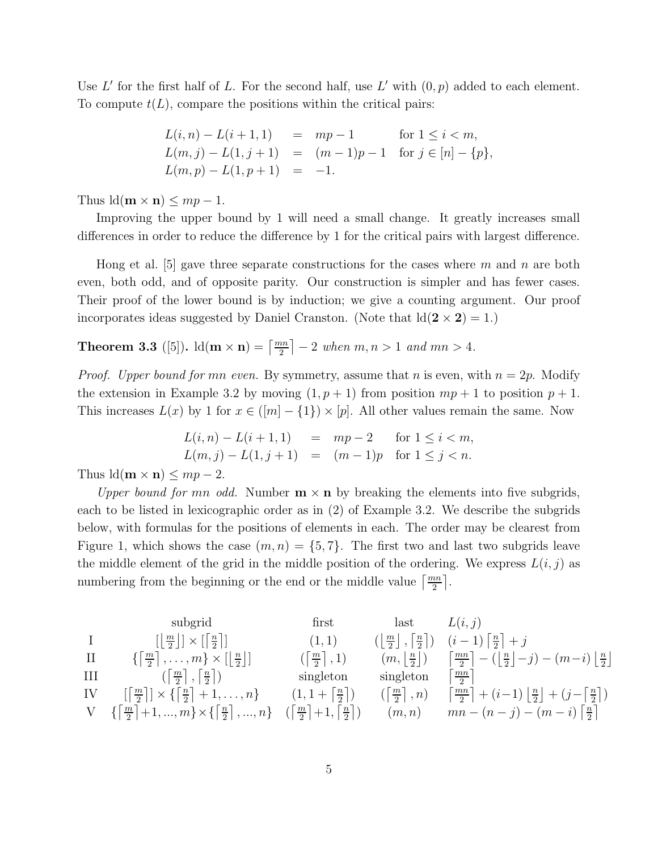Use  $L'$  for the first half of L. For the second half, use  $L'$  with  $(0, p)$  added to each element. To compute  $t(L)$ , compare the positions within the critical pairs:

$$
L(i, n) - L(i + 1, 1) = mp - 1 \quad \text{for } 1 \le i < m,
$$
  
\n
$$
L(m, j) - L(1, j + 1) = (m - 1)p - 1 \quad \text{for } j \in [n] - \{p\},
$$
  
\n
$$
L(m, p) - L(1, p + 1) = -1.
$$

Thus  $ld(m \times n) \le mp - 1$ .

Improving the upper bound by 1 will need a small change. It greatly increases small differences in order to reduce the difference by 1 for the critical pairs with largest difference.

Hong et al. [5] gave three separate constructions for the cases where  $m$  and  $n$  are both even, both odd, and of opposite parity. Our construction is simpler and has fewer cases. Their proof of the lower bound is by induction; we give a counting argument. Our proof incorporates ideas suggested by Daniel Cranston. (Note that  $ld(2 \times 2) = 1$ .)

**Theorem 3.3** ([5]).  $\text{ld}(\mathbf{m} \times \mathbf{n}) = \left\lceil \frac{mn}{2} \right\rceil - 2$  when  $m, n > 1$  and  $mn > 4$ .

*Proof.* Upper bound for mn even. By symmetry, assume that n is even, with  $n = 2p$ . Modify the extension in Example 3.2 by moving  $(1, p + 1)$  from position  $mp + 1$  to position  $p + 1$ . This increases  $L(x)$  by 1 for  $x \in ([m] - \{1\}) \times [p]$ . All other values remain the same. Now

$$
L(i, n) - L(i + 1, 1) = mp - 2 \text{ for } 1 \le i < m,
$$
  

$$
L(m, j) - L(1, j + 1) = (m - 1)p \text{ for } 1 \le j < n.
$$

Thus  $ld(m \times n) \le mp - 2$ .

Upper bound for mn odd. Number  $m \times n$  by breaking the elements into five subgrids, each to be listed in lexicographic order as in (2) of Example 3.2. We describe the subgrids below, with formulas for the positions of elements in each. The order may be clearest from Figure 1, which shows the case  $(m, n) = \{5, 7\}$ . The first two and last two subgrids leave the middle element of the grid in the middle position of the ordering. We express  $L(i, j)$  as numbering from the beginning or the end or the middle value  $\left\lceil \frac{mn}{2} \right\rceil$ .

| subgrid | first                                                                                                                                                                                                                                                                                    | last                                                                 | $L(i, j)$                                                                                           |                                                                                                                                                 |                                                                                                                                                |
|---------|------------------------------------------------------------------------------------------------------------------------------------------------------------------------------------------------------------------------------------------------------------------------------------------|----------------------------------------------------------------------|-----------------------------------------------------------------------------------------------------|-------------------------------------------------------------------------------------------------------------------------------------------------|------------------------------------------------------------------------------------------------------------------------------------------------|
| I       | \n $\begin{bmatrix}\n \left\lfloor \frac{m}{2} \right\rfloor \right\rceil \times \left\lfloor \frac{n}{2} \right\rceil \\  \left\lfloor \frac{m}{2} \right\rfloor \right\rceil \times \left\lfloor \frac{n}{2} \right\rceil \\  \left\lfloor \frac{m}{2} \right\rfloor \end{bmatrix}$ \n | \n $(1, 1)$ \n                                                       | \n $\left( \left\lfloor \frac{m}{2} \right\rfloor, \left\lceil \frac{n}{2} \right\rceil \right)$ \n | \n $(i - 1) \left\lfloor \frac{n}{2} \right\rfloor + j$ \n                                                                                      |                                                                                                                                                |
| III     | \n $\left\lfloor \frac{m}{2} \right\rfloor, \left\lceil \frac{n}{2} \right\rceil$ \n                                                                                                                                                                                                     | \n $\left\lfloor \frac{m}{2} \right\rfloor, 1$ \n                    | \n $(m, \left\lfloor \frac{n}{2} \right\rfloor)$ \n                                                 | \n $\left\lfloor \frac{mn}{2} \right\rfloor - (\left\lfloor \frac{n}{2} \right\rfloor - j) - (m - i) \left\lfloor \frac{n}{2} \right\rfloor$ \n |                                                                                                                                                |
| III     | \n $\left\lfloor \frac{m}{2} \right\rfloor, \left\lceil \frac{n}{2} \right\rceil$ \n                                                                                                                                                                                                     | \n $\left\lfloor \frac{m}{2} \right\rfloor, 1, \ldots, n\right\}$ \n | \n $\left\lfloor \frac{n}{2} \right\rfloor + \left\lfloor \frac{n}{2} \right\rfloor$ \n             | \n $\left\lfloor \frac{m}{2} \right\rfloor, m\right\}$ \n                                                                                       | \n $\left\lfloor \frac{m}{2} \right\rfloor + (i - 1) \left\lfloor \frac{n}{2} \right\rfloor + (j - \left\lfloor \frac{n}{2} \right\rfloor)$ \n |
| V       | \n $\left\lfloor \frac{$                                                                                                                                                                                                                                                                 |                                                                      |                                                                                                     |                                                                                                                                                 |                                                                                                                                                |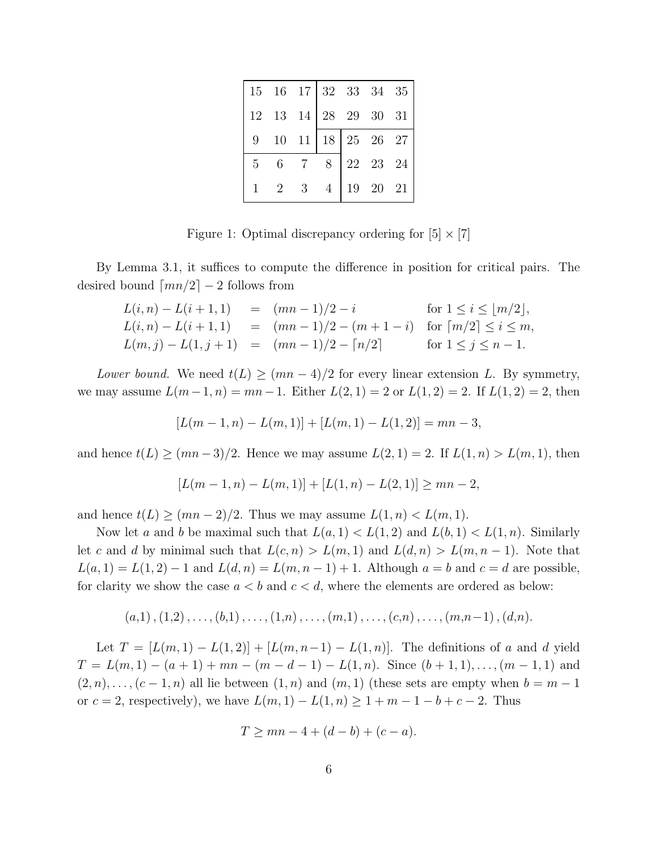|                | 15 16 17 32 33 34 35                                      |  |                        |  |
|----------------|-----------------------------------------------------------|--|------------------------|--|
|                | $12 \quad 13 \quad 14 \mid 28 \quad 29 \quad 30 \quad 31$ |  |                        |  |
|                | 9 10 11   18   25 26 27                                   |  |                        |  |
| 5 <sup>5</sup> | 6 7                                                       |  | 8 22 23 24             |  |
|                | $1 \quad 2$                                               |  | $3 \t4 \t19 \t20 \t21$ |  |

Figure 1: Optimal discrepancy ordering for  $[5] \times [7]$ 

By Lemma 3.1, it suffices to compute the difference in position for critical pairs. The desired bound  $\lceil mn/2 \rceil - 2$  follows from

$$
L(i, n) - L(i + 1, 1) = (mn - 1)/2 - i \text{ for } 1 \le i \le [m/2],
$$
  
\n
$$
L(i, n) - L(i + 1, 1) = (mn - 1)/2 - (m + 1 - i) \text{ for } [m/2] \le i \le m,
$$
  
\n
$$
L(m, j) - L(1, j + 1) = (mn - 1)/2 - [n/2] \text{ for } 1 \le j \le n - 1.
$$

Lower bound. We need  $t(L) \ge (mn-4)/2$  for every linear extension L. By symmetry, we may assume  $L(m-1, n) = mn-1$ . Either  $L(2, 1) = 2$  or  $L(1, 2) = 2$ . If  $L(1, 2) = 2$ , then

$$
[L(m-1,n)-L(m,1)] + [L(m,1)-L(1,2)] = mn-3,
$$

and hence  $t(L) \ge (mn-3)/2$ . Hence we may assume  $L(2, 1) = 2$ . If  $L(1, n) > L(m, 1)$ , then

$$
[L(m-1,n)-L(m,1)]+[L(1,n)-L(2,1)] \ge mn-2,
$$

and hence  $t(L) \ge (mn-2)/2$ . Thus we may assume  $L(1,n) < L(m,1)$ .

Now let a and b be maximal such that  $L(a, 1) < L(1, 2)$  and  $L(b, 1) < L(1, n)$ . Similarly let c and d by minimal such that  $L(c, n) > L(m, 1)$  and  $L(d, n) > L(m, n - 1)$ . Note that  $L(a, 1) = L(1, 2) - 1$  and  $L(d, n) = L(m, n - 1) + 1$ . Although  $a = b$  and  $c = d$  are possible, for clarity we show the case  $a < b$  and  $c < d$ , where the elements are ordered as below:

$$
(a,1), (1,2), \ldots, (b,1), \ldots, (1,n), \ldots, (m,1), \ldots, (c,n), \ldots, (m,n-1), (d,n).
$$

Let  $T = [L(m, 1) - L(1, 2)] + [L(m, n-1) - L(1, n)]$ . The definitions of a and d yield  $T = L(m, 1) - (a + 1) + mn - (m - d - 1) - L(1, n)$ . Since  $(b + 1, 1), \ldots, (m - 1, 1)$  and  $(2, n), \ldots, (c - 1, n)$  all lie between  $(1, n)$  and  $(m, 1)$  (these sets are empty when  $b = m - 1$ or  $c = 2$ , respectively), we have  $L(m, 1) - L(1, n) \ge 1 + m - 1 - b + c - 2$ . Thus

$$
T \ge mn - 4 + (d - b) + (c - a).
$$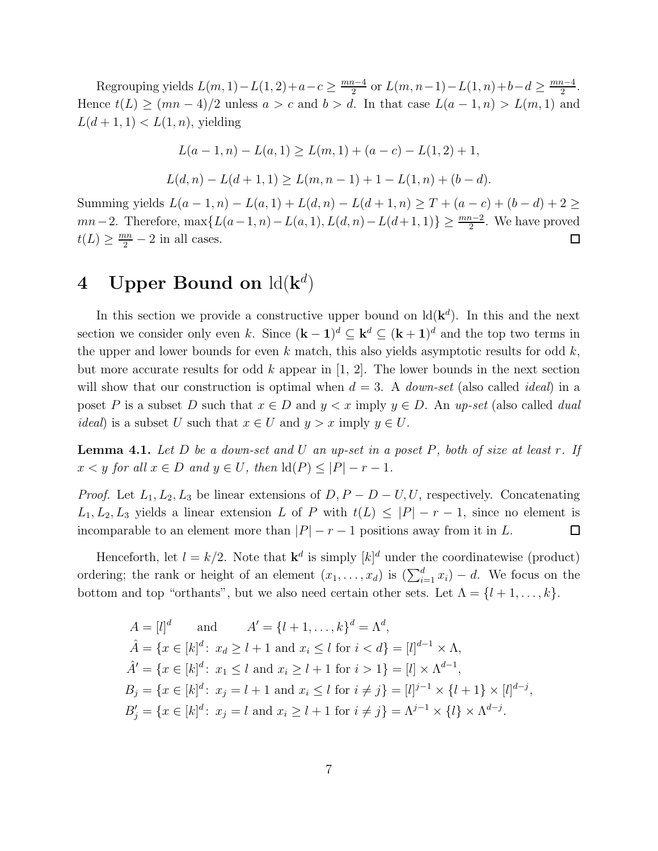Regrouping yields  $L(m, 1) - L(1, 2) + a - c \geq \frac{mn-4}{2}$  $\frac{n-4}{2}$  or  $L(m, n-1) - L(1, n) + b - d \ge \frac{mn-4}{2}$  $\frac{i-4}{2}$ . Hence  $t(L) \ge (mn-4)/2$  unless  $a > c$  and  $b > d$ . In that case  $L(a-1,n) > L(m,1)$  and  $L(d + 1, 1) < L(1, n)$ , yielding

$$
L(a-1,n) - L(a,1) \ge L(m,1) + (a-c) - L(1,2) + 1,
$$
  

$$
L(d,n) - L(d+1,1) \ge L(m,n-1) + 1 - L(1,n) + (b-d).
$$

Summing yields  $L(a-1,n) - L(a,1) + L(d,n) - L(d+1,n) ≥ T + (a-c) + (b-d) + 2 ≥$  $mn-2$ . Therefore,  $\max\{L(a-1,n)-L(a, 1), L(d, n)-L(d+1, 1)\}\geq \frac{mn-2}{2}$ . We have proved  $t(L) \geq \frac{mn}{2} - 2$  in all cases.  $\Box$ 

### 4 Upper Bound on  $\text{ld}(\mathbf{k}^d)$

In this section we provide a constructive upper bound on  $\text{Id}(\mathbf{k}^d)$ . In this and the next section we consider only even k. Since  $(k-1)^d \subseteq k^d \subseteq (k+1)^d$  and the top two terms in the upper and lower bounds for even  $k$  match, this also yields asymptotic results for odd  $k$ , but more accurate results for odd  $k$  appear in [1, 2]. The lower bounds in the next section will show that our construction is optimal when  $d = 3$ . A *down-set* (also called *ideal*) in a poset P is a subset D such that  $x \in D$  and  $y < x$  imply  $y \in D$ . An up-set (also called dual *ideal*) is a subset U such that  $x \in U$  and  $y > x$  imply  $y \in U$ .

**Lemma 4.1.** Let  $D$  be a down-set and  $U$  an up-set in a poset  $P$ , both of size at least  $r$ . If  $x < y$  for all  $x \in D$  and  $y \in U$ , then  $\text{Id}(P) \leq |P| - r - 1$ .

*Proof.* Let  $L_1, L_2, L_3$  be linear extensions of  $D, P - D - U, U$ , respectively. Concatenating  $L_1, L_2, L_3$  yields a linear extension L of P with  $t(L) \leq |P| - r - 1$ , since no element is incomparable to an element more than  $|P| - r - 1$  positions away from it in L.  $\Box$ 

Henceforth, let  $l = k/2$ . Note that  $\mathbf{k}^d$  is simply  $[k]^d$  under the coordinatewise (product) ordering; the rank or height of an element  $(x_1, \ldots, x_d)$  is  $(\sum_{i=1}^d x_i) - d$ . We focus on the bottom and top "orthants", but we also need certain other sets. Let  $\Lambda = \{l+1,\ldots,k\}$ .

$$
A = [l]^d \quad \text{and} \quad A' = \{l+1, ..., k\}^d = \Lambda^d,
$$
  
\n
$$
\hat{A} = \{x \in [k]^d: x_d \ge l+1 \text{ and } x_i \le l \text{ for } i < d\} = [l]^{d-1} \times \Lambda,
$$
  
\n
$$
\hat{A}' = \{x \in [k]^d: x_1 \le l \text{ and } x_i \ge l+1 \text{ for } i > 1\} = [l] \times \Lambda^{d-1},
$$
  
\n
$$
B_j = \{x \in [k]^d: x_j = l+1 \text{ and } x_i \le l \text{ for } i \ne j\} = [l]^{j-1} \times \{l+1\} \times [l]^{d-j},
$$
  
\n
$$
B'_j = \{x \in [k]^d: x_j = l \text{ and } x_i \ge l+1 \text{ for } i \ne j\} = \Lambda^{j-1} \times \{l\} \times \Lambda^{d-j}.
$$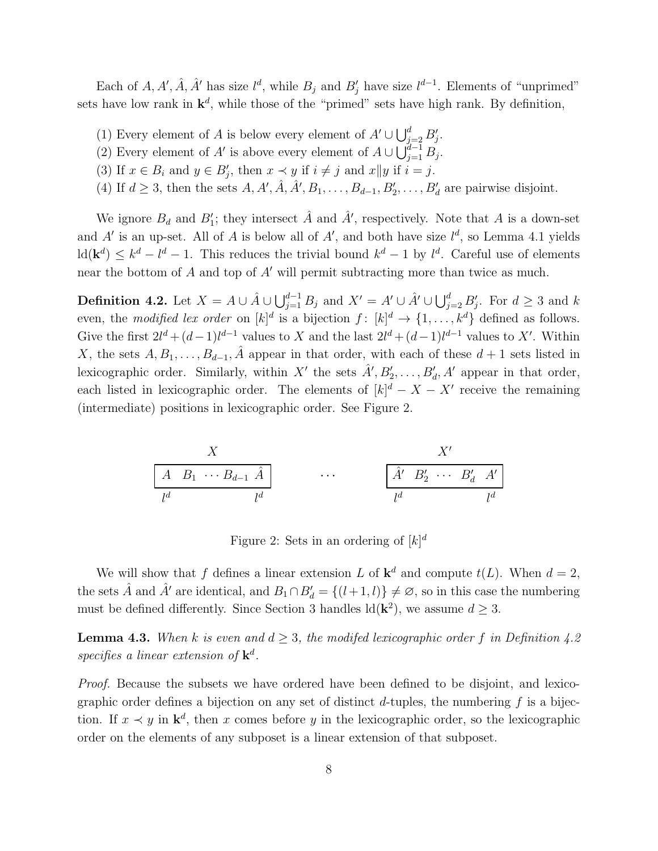Each of A, A',  $\hat{A}$ ,  $\hat{A}'$  has size  $l^d$ , while  $B_j$  and  $B'_j$  have size  $l^{d-1}$ . Elements of "unprimed" sets have low rank in  $\mathbf{k}^d$ , while those of the "primed" sets have high rank. By definition,

- (1) Every element of A is below every element of  $A' \cup \bigcup_{j=2}^{d} B'_j$ .
- (2) Every element of A' is above every element of  $A \cup \bigcup_{j=1}^{d-1} B_j$ .
- (3) If  $x \in B_i$  and  $y \in B'_j$ , then  $x \prec y$  if  $i \neq j$  and  $x||y$  if  $i = j$ .
- (4) If  $d \geq 3$ , then the sets  $A, A', \hat{A}, \hat{A}', B_1, \ldots, B_{d-1}, B'_2, \ldots, B'_d$  are pairwise disjoint.

We ignore  $B_d$  and  $B'_1$ ; they intersect  $\hat{A}$  and  $\hat{A}'$ , respectively. Note that A is a down-set and A' is an up-set. All of A is below all of A', and both have size  $l^d$ , so Lemma 4.1 yields  $\text{Id}(\mathbf{k}^d) \leq k^d - l^d - 1$ . This reduces the trivial bound  $k^d - 1$  by  $l^d$ . Careful use of elements near the bottom of A and top of A′ will permit subtracting more than twice as much.

**Definition 4.2.** Let  $X = A \cup \hat{A} \cup \bigcup_{j=1}^{d-1} B_j$  and  $X' = A' \cup \hat{A}' \cup \bigcup_{j=2}^{d} B'_j$ . For  $d \geq 3$  and k even, the modified lex order on  $[k]^d$  is a bijection  $f: [k]^d \to \{1, \ldots, k^d\}$  defined as follows. Give the first  $2l^d + (d-1)l^{d-1}$  values to X and the last  $2l^d + (d-1)l^{d-1}$  values to X'. Within X, the sets  $A, B_1, \ldots, B_{d-1}, \hat{A}$  appear in that order, with each of these  $d+1$  sets listed in lexicographic order. Similarly, within X' the sets  $\hat{A}'$ ,  $B'_2, \ldots, B'_d$ , A' appear in that order, each listed in lexicographic order. The elements of  $[k]^d - X - X'$  receive the remaining (intermediate) positions in lexicographic order. See Figure 2.

$$
\begin{array}{c|cc}\n & X & X' \\
\hline\nA & B_1 & \cdots & B_{d-1} & \hat{A} \\
\hline\nl^d & & l^d & & l^d\n\end{array}\n\quad \cdots \quad\n\begin{array}{c|cc}\n & X' & & \\
\hline\n\hat{A}' & B'_2 & \cdots & B'_d & A' \\
\hline\nl^d & & l^d & & l^d\n\end{array}
$$

Figure 2: Sets in an ordering of  $[k]$ <sup>d</sup>

We will show that f defines a linear extension L of  $\mathbf{k}^d$  and compute  $t(L)$ . When  $d=2$ , the sets  $\hat{A}$  and  $\hat{A}'$  are identical, and  $B_1 \cap B'_d = \{(l+1, l)\}\neq \emptyset$ , so in this case the numbering must be defined differently. Since Section 3 handles  $ld(\mathbf{k}^2)$ , we assume  $d \geq 3$ .

**Lemma 4.3.** When k is even and  $d \geq 3$ , the modifed lexicographic order f in Definition 4.2 specifies a linear extension of  $\mathbf{k}^d$ .

*Proof.* Because the subsets we have ordered have been defined to be disjoint, and lexicographic order defines a bijection on any set of distinct d-tuples, the numbering  $f$  is a bijection. If  $x \prec y$  in  $\mathbf{k}^d$ , then x comes before y in the lexicographic order, so the lexicographic order on the elements of any subposet is a linear extension of that subposet.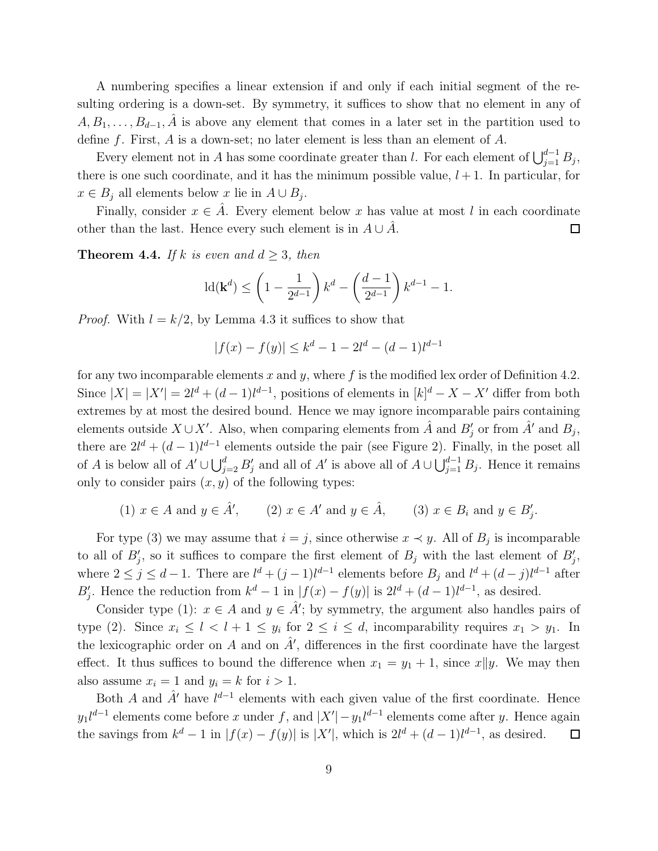A numbering specifies a linear extension if and only if each initial segment of the resulting ordering is a down-set. By symmetry, it suffices to show that no element in any of  $A, B_1, \ldots, B_{d-1}, \hat{A}$  is above any element that comes in a later set in the partition used to define f. First,  $A$  is a down-set; no later element is less than an element of  $A$ .

Every element not in A has some coordinate greater than l. For each element of  $\bigcup_{j=1}^{d-1} B_j$ , there is one such coordinate, and it has the minimum possible value,  $l + 1$ . In particular, for  $x \in B_j$  all elements below x lie in  $A \cup B_j$ .

Finally, consider  $x \in \hat{A}$ . Every element below x has value at most l in each coordinate other than the last. Hence every such element is in  $A \cup \hat{A}$ .  $\Box$ 

**Theorem 4.4.** If k is even and  $d \geq 3$ , then

$$
\operatorname{ld}(\mathbf{k}^d) \le \left(1 - \frac{1}{2^{d-1}}\right) k^d - \left(\frac{d-1}{2^{d-1}}\right) k^{d-1} - 1.
$$

*Proof.* With  $l = k/2$ , by Lemma 4.3 it suffices to show that

$$
|f(x) - f(y)| \le k^d - 1 - 2l^d - (d - 1)l^{d-1}
$$

for any two incomparable elements x and y, where f is the modified lex order of Definition 4.2. Since  $|X| = |X'| = 2l^d + (d-1)l^{d-1}$ , positions of elements in  $[k]^d - X - X'$  differ from both extremes by at most the desired bound. Hence we may ignore incomparable pairs containing elements outside  $X \cup X'$ . Also, when comparing elements from  $\hat{A}$  and  $B'_{j}$  or from  $\hat{A}'$  and  $B_{j}$ , there are  $2l^d + (d-1)l^{d-1}$  elements outside the pair (see Figure 2). Finally, in the poset all of A is below all of  $A' \cup \bigcup_{j=2}^d B'_j$  and all of  $A'$  is above all of  $A \cup \bigcup_{j=1}^{d-1} B_j$ . Hence it remains only to consider pairs  $(x, y)$  of the following types:

(1)  $x \in A$  and  $y \in \hat{A}'$ , (2)  $x \in A'$  and  $y \in \hat{A}$ , (3)  $x \in B_i$  and  $y \in B'_j$ ,<br>j.

For type (3) we may assume that  $i = j$ , since otherwise  $x \prec y$ . All of  $B_j$  is incomparable to all of  $B'_j$ , so it suffices to compare the first element of  $B_j$  with the last element of  $B'_j$ , where  $2 \leq j \leq d-1$ . There are  $l^d + (j-1)l^{d-1}$  elements before  $B_j$  and  $l^d + (d-j)l^{d-1}$  after B'<sub>j</sub>. Hence the reduction from  $k^d - 1$  in  $|f(x) - f(y)|$  is  $2l^d + (d-1)l^{d-1}$ , as desired.

Consider type (1):  $x \in A$  and  $y \in \hat{A}'$ ; by symmetry, the argument also handles pairs of type (2). Since  $x_i \leq l \leq l+1 \leq y_i$  for  $2 \leq i \leq d$ , incomparability requires  $x_1 > y_1$ . In the lexicographic order on A and on  $\hat{A}'$ , differences in the first coordinate have the largest effect. It thus suffices to bound the difference when  $x_1 = y_1 + 1$ , since  $x||y$ . We may then also assume  $x_i = 1$  and  $y_i = k$  for  $i > 1$ .

Both A and  $\hat{A}'$  have  $l^{d-1}$  elements with each given value of the first coordinate. Hence  $y_1l^{d-1}$  elements come before x under f, and  $|X'|-y_1l^{d-1}$  elements come after y. Hence again the savings from  $k^d - 1$  in  $|f(x) - f(y)|$  is  $|X'|$ , which is  $2l^d + (d-1)l^{d-1}$ , as desired.  $\Box$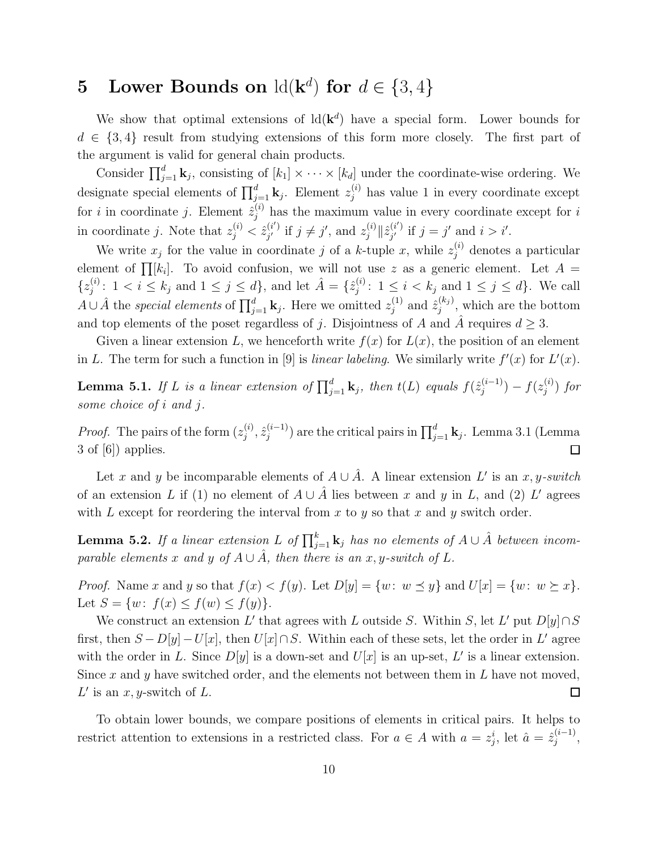# 5 Lower Bounds on  $ld(k^d)$  for  $d \in \{3, 4\}$

We show that optimal extensions of  $ld(k^d)$  have a special form. Lower bounds for  $d \in \{3, 4\}$  result from studying extensions of this form more closely. The first part of the argument is valid for general chain products.

Consider  $\prod_{j=1}^d \mathbf{k}_j$ , consisting of  $[k_1] \times \cdots \times [k_d]$  under the coordinate-wise ordering. We designate special elements of  $\prod_{j=1}^{d} k_j$ . Element  $z_j^{(i)}$  has value 1 in every coordinate except for *i* in coordinate *j*. Element  $\hat{z}_j^{(i)}$  has the maximum value in every coordinate except for *i* in coordinate j. Note that  $z_j^{(i)} < \hat{z}_{j'}^{(i')}$  $j'_{j'}$  if  $j \neq j'$ , and  $z_j^{(i)}$  $\|\hat{z}^{(i)}_j\|$  $j'_{j'}$  if  $j = j'$  and  $i > i'$ .

We write  $x_j$  for the value in coordinate j of a k-tuple x, while  $z_j^{(i)}$  denotes a particular element of  $\prod [k_i]$ . To avoid confusion, we will not use z as a generic element. Let  $A =$  $\{z^{(i)}_j$  $j^{(i)}$ :  $1 < i \leq k_j$  and  $1 \leq j \leq d$ , and let  $\hat{A} = \{ \hat{z}_j^{(i)} \}$  $j^{(i)}$ :  $1 \leq i < k_j$  and  $1 \leq j \leq d$ . We call  $A \cup \hat{A}$  the special elements of  $\prod_{j=1}^{d} \mathbf{k}_j$ . Here we omitted  $z_j^{(1)}$  $_j^{(1)}$  and  $\hat{z}_j^{(k_j)}$  $j^{(k_j)}$ , which are the bottom and top elements of the poset regardless of j. Disjointness of A and A requires  $d \geq 3$ .

Given a linear extension L, we henceforth write  $f(x)$  for  $L(x)$ , the position of an element in L. The term for such a function in [9] is *linear labeling*. We similarly write  $f'(x)$  for  $L'(x)$ .

**Lemma 5.1.** If L is a linear extension of  $\prod_{j=1}^{d} \mathbf{k}_j$ , then  $t(L)$  equals  $f(\hat{z}_j^{(i-1)})$  $j^{(i-1)}$ ) –  $f(z_j^{(i)}$  $j^{(i)}$ ) for some choice of i and j.

*Proof.* The pairs of the form  $(z_i^{(i)})$  $\hat{z}_j^{(i-1)}, \hat{z}_j^{(i-1)}$  $j^{(i-1)}$ ) are the critical pairs in  $\prod_{j=1}^{d} \mathbf{k}_j$ . Lemma 3.1 (Lemma 3 of [6]) applies.  $\Box$ 

Let x and y be incomparable elements of  $A \cup \hat{A}$ . A linear extension L' is an x, y-switch of an extension L if (1) no element of  $A \cup \hat{A}$  lies between x and y in L, and (2) L' agrees with L except for reordering the interval from x to y so that x and y switch order.

**Lemma 5.2.** If a linear extension L of  $\prod_{j=1}^{k}$  k<sub>j</sub> has no elements of  $A \cup \hat{A}$  between incomparable elements x and y of  $A \cup \hat{A}$ , then there is an x, y-switch of L.

*Proof.* Name x and y so that  $f(x) < f(y)$ . Let  $D[y] = \{w: w \le y\}$  and  $U[x] = \{w: w \ge x\}$ . Let  $S = \{w: f(x) \le f(w) \le f(y)\}.$ 

We construct an extension  $L'$  that agrees with  $L$  outside  $S$ . Within  $S$ , let  $L'$  put  $D[y] \cap S$ first, then  $S - D[y] - U[x]$ , then  $U[x] \cap S$ . Within each of these sets, let the order in L' agree with the order in L. Since  $D[y]$  is a down-set and  $U[x]$  is an up-set, L' is a linear extension. Since x and y have switched order, and the elements not between them in L have not moved,  $L'$  is an  $x, y$ -switch of  $L$ .  $\Box$ 

To obtain lower bounds, we compare positions of elements in critical pairs. It helps to restrict attention to extensions in a restricted class. For  $a \in A$  with  $a = z_j^i$ , let  $\hat{a} = \hat{z}_j^{(i-1)}$  $j^{(i-1)},$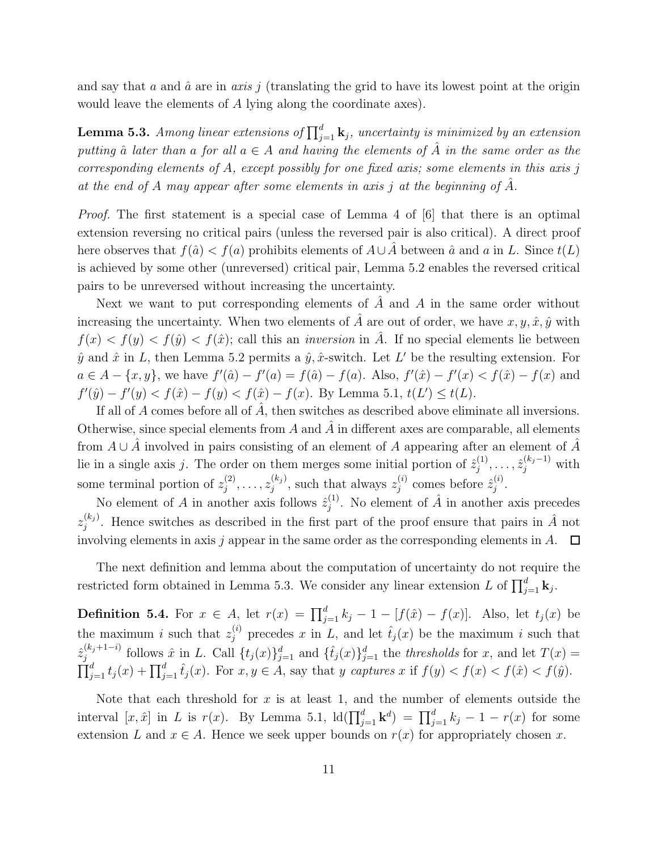and say that a and  $\hat{a}$  are in axis j (translating the grid to have its lowest point at the origin would leave the elements of A lying along the coordinate axes).

**Lemma 5.3.** Among linear extensions of  $\prod_{j=1}^{d} \mathbf{k}_j$ , uncertainty is minimized by an extension putting  $\hat{a}$  later than a for all  $a \in A$  and having the elements of A in the same order as the corresponding elements of A, except possibly for one fixed axis; some elements in this axis j at the end of A may appear after some elements in axis j at the beginning of A.

Proof. The first statement is a special case of Lemma 4 of [6] that there is an optimal extension reversing no critical pairs (unless the reversed pair is also critical). A direct proof here observes that  $f(\hat{a}) < f(a)$  prohibits elements of  $A \cup A$  between  $\hat{a}$  and  $a$  in L. Since  $t(L)$ is achieved by some other (unreversed) critical pair, Lemma 5.2 enables the reversed critical pairs to be unreversed without increasing the uncertainty.

Next we want to put corresponding elements of  $\tilde{A}$  and  $\tilde{A}$  in the same order without increasing the uncertainty. When two elements of  $\hat{A}$  are out of order, we have  $x, y, \hat{x}, \hat{y}$  with  $f(x) < f(y) < f(\hat{x})$ ; call this an *inversion* in  $\hat{A}$ . If no special elements lie between  $\hat{y}$  and  $\hat{x}$  in L, then Lemma 5.2 permits a  $\hat{y}$ ,  $\hat{x}$ -switch. Let L' be the resulting extension. For  $a \in A - \{x, y\}$ , we have  $f'(\hat{a}) - f'(a) = f(\hat{a}) - f(a)$ . Also,  $f'(\hat{x}) - f'(x) < f(\hat{x}) - f(x)$  and  $f'(\hat{y}) - f'(y) < f(\hat{x}) - f(y) < f(\hat{x}) - f(x)$ . By Lemma 5.1,  $t(L') \leq t(L)$ .

If all of A comes before all of  $\tilde{A}$ , then switches as described above eliminate all inversions. Otherwise, since special elements from  $A$  and  $\overline{A}$  in different axes are comparable, all elements from  $A \cup \hat{A}$  involved in pairs consisting of an element of A appearing after an element of  $\hat{A}$ lie in a single axis j. The order on them merges some initial portion of  $\hat{z}_i^{(1)}$  $\hat{z}_j^{(1)}, \ldots, \hat{z}_j^{(k_j-1)}$  with some terminal portion of  $z_i^{(2)}$  $\zeta_j^{(2)},\ldots,\zeta_j^{(k_j)}$  $j^{(k_j)}$ , such that always  $z_j^{(i)}$  $j^{(i)}$  comes before  $\hat{z}_j^{(i)}$  $\frac{i}{j}$  .

No element of A in another axis follows  $\hat{z}_i^{(1)}$  $j^{(1)}$ . No element of  $\hat{A}$  in another axis precedes  $z_i^{(k_j)}$  $j^{(k_j)}$ . Hence switches as described in the first part of the proof ensure that pairs in  $\hat{A}$  not involving elements in axis  $j$  appear in the same order as the corresponding elements in  $A$ .  $\overline{\phantom{0}}$ 

The next definition and lemma about the computation of uncertainty do not require the restricted form obtained in Lemma 5.3. We consider any linear extension L of  $\prod_{j=1}^{d} \mathbf{k}_j$ .

**Definition 5.4.** For  $x \in A$ , let  $r(x) = \prod_{j=1}^{d} k_j - 1 - [f(\hat{x}) - f(x)]$ . Also, let  $t_j(x)$  be the maximum i such that  $z_j^{(i)}$  precedes x in L, and let  $\hat{t}_j(x)$  be the maximum i such that  $\hat{z}_i^{(k_j+1-i)}$  $j^{(k_j+1-i)}$  follows  $\hat{x}$  in L. Call  $\{t_j(x)\}_{j=1}^d$  and  $\{\hat{t}_j(x)\}_{j=1}^d$  the *thresholds* for x, and let  $T(x) =$  $\prod_{j=1}^d t_j(x) + \prod_{j=1}^d \hat{t}_j(x)$ . For  $x, y \in A$ , say that y captures x if  $f(y) < f(x) < f(\hat{x}) < f(\hat{y})$ .

Note that each threshold for  $x$  is at least 1, and the number of elements outside the interval  $[x, \hat{x}]$  in L is  $r(x)$ . By Lemma 5.1,  $\mathrm{Id}(\prod_{j=1}^d k^d) = \prod_{j=1}^d k_j - 1 - r(x)$  for some extension L and  $x \in A$ . Hence we seek upper bounds on  $r(x)$  for appropriately chosen x.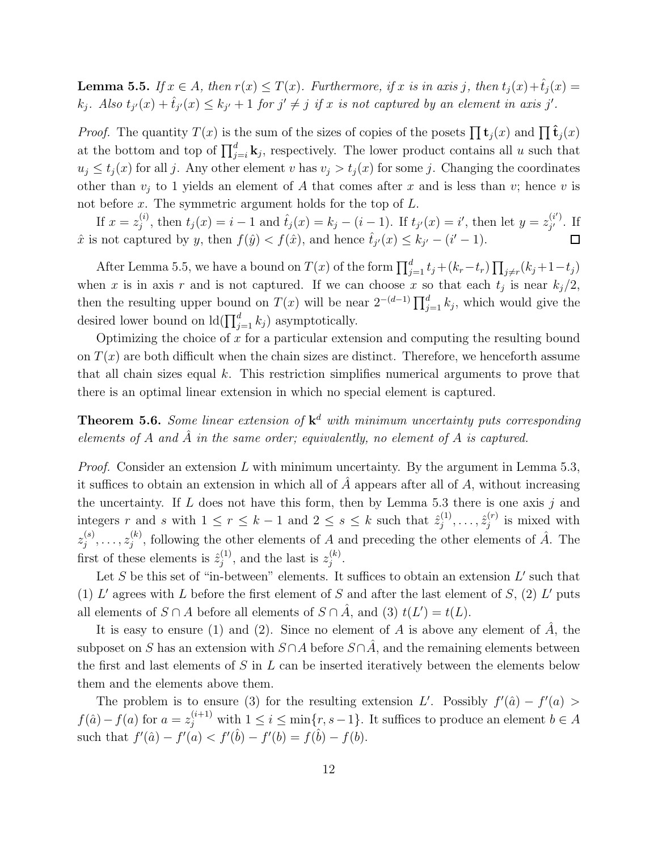**Lemma 5.5.** If  $x \in A$ , then  $r(x) \leq T(x)$ . Furthermore, if x is in axis j, then  $t_i(x) + \hat{t}_i(x) =$  $k_j$ . Also  $t_{j'}(x) + \hat{t}_{j'}(x) \leq k_{j'} + 1$  for  $j' \neq j$  if x is not captured by an element in axis j'.

*Proof.* The quantity  $T(x)$  is the sum of the sizes of copies of the posets  $\prod_{i}$ ,  $\mathbf{t}_i(x)$  and  $\prod_{i}$ ,  $\hat{\mathbf{t}}_j(x)$ at the bottom and top of  $\prod_{j=i}^d \mathbf{k}_j$ , respectively. The lower product contains all u such that  $u_j \le t_j(x)$  for all j. Any other element v has  $v_j > t_j(x)$  for some j. Changing the coordinates other than  $v_i$  to 1 yields an element of A that comes after x and is less than v; hence v is not before x. The symmetric argument holds for the top of L.

 $j^{(i)}$ , then  $t_j(x) = i - 1$  and  $\hat{t}_j(x) = k_j - (i - 1)$ . If  $t_{j'}(x) = i'$ , then let  $y = z_{j'}^{(i')}$ If  $x=z_i^{(i)}$  $j'$ . If  $\hat{x}$  is not captured by y, then  $f(\hat{y}) < f(\hat{x})$ , and hence  $\hat{t}_{j'}(x) \leq k_{j'} - (i' - 1)$ .  $\Box$ 

After Lemma 5.5, we have a bound on  $T(x)$  of the form  $\prod_{j=1}^{d} t_j + (k_r - t_r) \prod_{j \neq r} (k_j + 1 - t_j)$ when x is in axis r and is not captured. If we can choose x so that each  $t_j$  is near  $k_j/2$ , then the resulting upper bound on  $T(x)$  will be near  $2^{-(d-1)} \prod_{j=1}^{d} k_j$ , which would give the desired lower bound on  $ld(\prod_{j=1}^{d} k_j)$  asymptotically.

Optimizing the choice of  $x$  for a particular extension and computing the resulting bound on  $T(x)$  are both difficult when the chain sizes are distinct. Therefore, we henceforth assume that all chain sizes equal  $k$ . This restriction simplifies numerical arguments to prove that there is an optimal linear extension in which no special element is captured.

**Theorem 5.6.** Some linear extension of  $k^d$  with minimum uncertainty puts corresponding elements of A and  $\hat{A}$  in the same order; equivalently, no element of A is captured.

*Proof.* Consider an extension L with minimum uncertainty. By the argument in Lemma 5.3, it suffices to obtain an extension in which all of  $\hat{A}$  appears after all of  $A$ , without increasing the uncertainty. If  $L$  does not have this form, then by Lemma 5.3 there is one axis  $j$  and integers r and s with  $1 \leq r \leq k-1$  and  $2 \leq s \leq k$  such that  $\hat{z}_j^{(1)}$  $\hat{z}_j^{(1)}, \ldots, \hat{z}_j^{(r)}$  $j^{(r)}$  is mixed with  $z_i^{(s)}$  $\tilde{z}_j^{(s)},\ldots,z_j^{(k)}$  $j^{(k)}$ , following the other elements of A and preceding the other elements of  $\hat{A}$ . The first of these elements is  $\hat{z}_i^{(1)}$  $j^{(1)}$ , and the last is  $z_j^{(k)}$  $\frac{1}{j}$  .

Let  $S$  be this set of "in-between" elements. It suffices to obtain an extension  $L'$  such that (1)  $L'$  agrees with  $L$  before the first element of  $S$  and after the last element of  $S$ , (2)  $L'$  puts all elements of  $S \cap A$  before all elements of  $S \cap \hat{A}$ , and (3)  $t(L') = t(L)$ .

It is easy to ensure (1) and (2). Since no element of A is above any element of  $\hat{A}$ , the subposet on S has an extension with  $S \cap A$  before  $S \cap \overline{A}$ , and the remaining elements between the first and last elements of  $S$  in  $L$  can be inserted iteratively between the elements below them and the elements above them.

The problem is to ensure (3) for the resulting extension L'. Possibly  $f'(\hat{a}) - f'(a) >$  $f(\hat{a}) - f(a)$  for  $a = z_j^{(i+1)}$  with  $1 \leq i \leq \min\{r, s-1\}$ . It suffices to produce an element  $b \in A$ such that  $f'(\hat{a}) - f'(a) < f'(\hat{b}) - f'(b) = f(\hat{b}) - f(b)$ .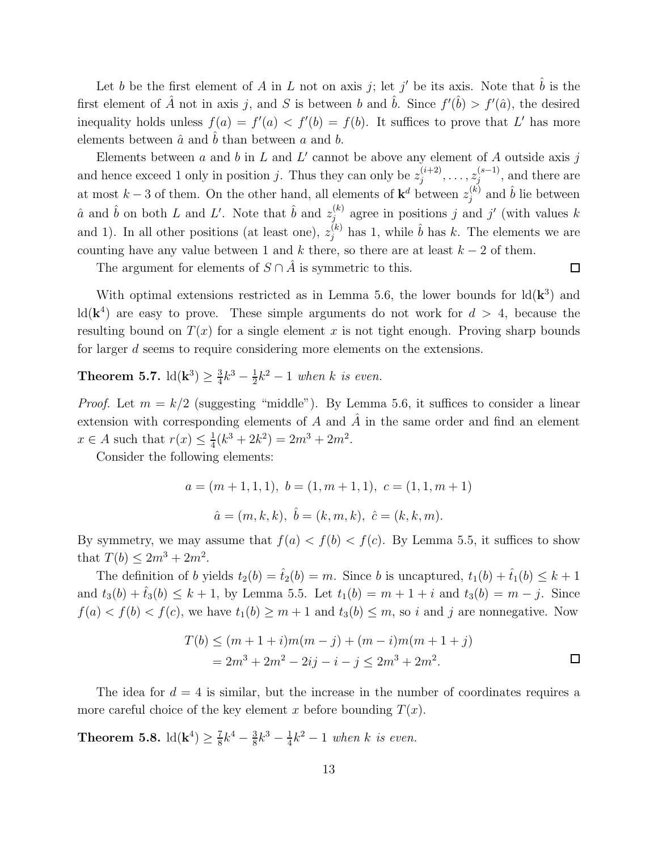Let b be the first element of A in L not on axis j; let j' be its axis. Note that  $\hat{b}$  is the first element of  $\hat{A}$  not in axis j, and S is between b and  $\hat{b}$ . Since  $f'(\hat{b}) > f'(\hat{a})$ , the desired inequality holds unless  $f(a) = f'(a) < f'(b) = f(b)$ . It suffices to prove that L' has more elements between  $\hat{a}$  and  $\hat{b}$  than between  $a$  and  $b$ .

Elements between  $a$  and  $b$  in  $L$  and  $L'$  cannot be above any element of  $A$  outside axis  $j$ and hence exceed 1 only in position j. Thus they can only be  $z_i^{(i+2)}$  $z_j^{(i+2)}, \ldots, z_j^{(s-1)}$  $j^{(s-1)}$ , and there are at most  $k-3$  of them. On the other hand, all elements of  $\mathbf{k}^d$  between  $z_j^{(k)}$  $j^{(k)}$  and  $\hat{b}$  lie between  $\hat{a}$  and  $\hat{b}$  on both L and L'. Note that  $\hat{b}$  and  $z_i^{(k)}$  $j^{(k)}$  agree in positions j and j' (with values k and 1). In all other positions (at least one),  $z_j^{(k)}$  has 1, while  $\hat{b}$  has k. The elements we are counting have any value between 1 and k there, so there are at least  $k - 2$  of them.

The argument for elements of  $S \cap \overline{A}$  is symmetric to this.

 $\Box$ 

With optimal extensions restricted as in Lemma 5.6, the lower bounds for  $ld(\mathbf{k}^3)$  and  $\text{Id}(\mathbf{k}^4)$  are easy to prove. These simple arguments do not work for  $d > 4$ , because the resulting bound on  $T(x)$  for a single element x is not tight enough. Proving sharp bounds for larger d seems to require considering more elements on the extensions.

Theorem 5.7.  $\text{ld}(\mathbf{k}^3) \geq \frac{3}{4}$  $\frac{3}{4}k^3 - \frac{1}{2}$  $\frac{1}{2}k^2-1$  when k is even.

*Proof.* Let  $m = k/2$  (suggesting "middle"). By Lemma 5.6, it suffices to consider a linear extension with corresponding elements of  $A$  and  $\overline{A}$  in the same order and find an element  $x \in A$  such that  $r(x) \leq \frac{1}{4}$  $\frac{1}{4}(k^3+2k^2)=2m^3+2m^2$ .

Consider the following elements:

$$
a = (m+1, 1, 1), b = (1, m+1, 1), c = (1, 1, m+1)
$$
  

$$
\hat{a} = (m, k, k), \hat{b} = (k, m, k), \hat{c} = (k, k, m).
$$

By symmetry, we may assume that  $f(a) < f(b) < f(c)$ . By Lemma 5.5, it suffices to show that  $T(b) \le 2m^3 + 2m^2$ .

The definition of b yields  $t_2(b) = \hat{t}_2(b) = m$ . Since b is uncaptured,  $t_1(b) + \hat{t}_1(b) \leq k + 1$ and  $t_3(b) + \hat{t}_3(b) \leq k + 1$ , by Lemma 5.5. Let  $t_1(b) = m + 1 + i$  and  $t_3(b) = m - j$ . Since  $f(a) < f(b) < f(c)$ , we have  $t_1(b) \ge m+1$  and  $t_3(b) \le m$ , so i and j are nonnegative. Now

$$
T(b) \le (m+1+i)m(m-j) + (m-i)m(m+1+j)
$$
  
=  $2m^3 + 2m^2 - 2ij - i - j \le 2m^3 + 2m^2$ .

The idea for  $d = 4$  is similar, but the increase in the number of coordinates requires a more careful choice of the key element x before bounding  $T(x)$ .

Theorem 5.8.  $\text{ld}(\mathbf{k}^4) \geq \frac{7}{8}$  $\frac{7}{8}k^4 - \frac{3}{8}$  $\frac{3}{8}k^3 - \frac{1}{4}$  $\frac{1}{4}k^2-1$  when k is even.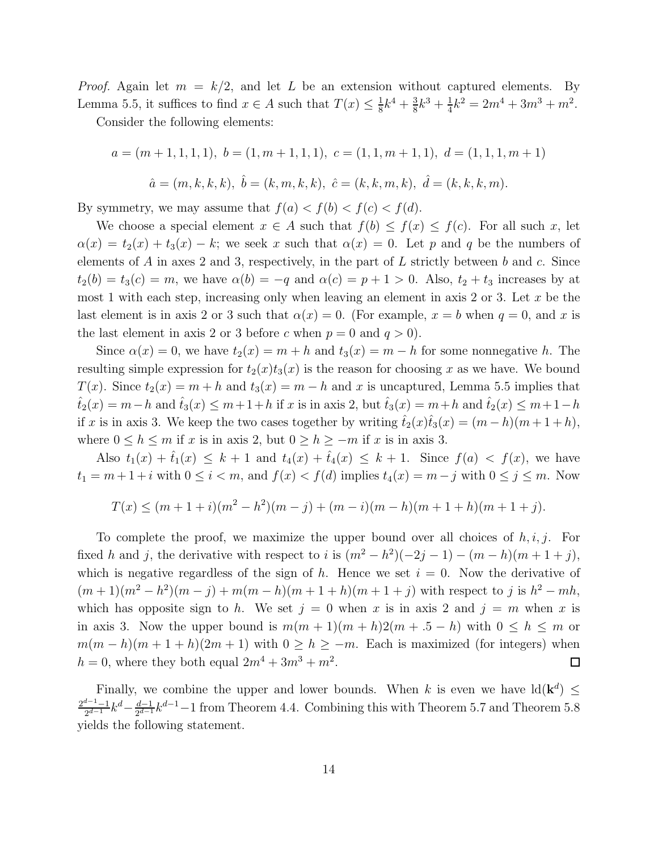*Proof.* Again let  $m = k/2$ , and let L be an extension without captured elements. By Lemma 5.5, it suffices to find  $x \in A$  such that  $T(x) \leq \frac{1}{8}$  $\frac{1}{8}k^4 + \frac{3}{8}$  $\frac{3}{8}k^3 + \frac{1}{4}$  $\frac{1}{4}k^2 = 2m^4 + 3m^3 + m^2.$ 

Consider the following elements:

 $a = (m+1,1,1,1), b = (1, m+1,1,1), c = (1,1, m+1,1), d = (1,1,1, m+1)$  $\hat{a} = (m, k, k, k), \; \hat{b} = (k, m, k, k), \; \hat{c} = (k, k, m, k), \; \hat{d} = (k, k, k, m).$ 

By symmetry, we may assume that  $f(a) < f(b) < f(c) < f(d)$ .

We choose a special element  $x \in A$  such that  $f(b) \leq f(x) \leq f(c)$ . For all such x, let  $\alpha(x) = t_2(x) + t_3(x) - k$ ; we seek x such that  $\alpha(x) = 0$ . Let p and q be the numbers of elements of A in axes 2 and 3, respectively, in the part of L strictly between  $b$  and  $c$ . Since  $t_2(b) = t_3(c) = m$ , we have  $\alpha(b) = -q$  and  $\alpha(c) = p + 1 > 0$ . Also,  $t_2 + t_3$  increases by at most 1 with each step, increasing only when leaving an element in axis 2 or 3. Let  $x$  be the last element is in axis 2 or 3 such that  $\alpha(x) = 0$ . (For example,  $x = b$  when  $q = 0$ , and x is the last element in axis 2 or 3 before c when  $p = 0$  and  $q > 0$ .

Since  $\alpha(x) = 0$ , we have  $t_2(x) = m + h$  and  $t_3(x) = m - h$  for some nonnegative h. The resulting simple expression for  $t_2(x)t_3(x)$  is the reason for choosing x as we have. We bound  $T(x)$ . Since  $t_2(x) = m + h$  and  $t_3(x) = m - h$  and x is uncaptured, Lemma 5.5 implies that  $t<sub>2</sub>(x) = m-h$  and  $t<sub>3</sub>(x) \le m+1+h$  if x is in axis 2, but  $t<sub>3</sub>(x) = m+h$  and  $t<sub>2</sub>(x) \le m+1-h$ if x is in axis 3. We keep the two cases together by writing  $\hat{t}_2(x)\hat{t}_3(x) = (m-h)(m+1+h)$ , where  $0 \le h \le m$  if x is in axis 2, but  $0 \ge h \ge -m$  if x is in axis 3.

Also  $t_1(x) + \hat{t}_1(x) \leq k + 1$  and  $t_4(x) + \hat{t}_4(x) \leq k + 1$ . Since  $f(a) < f(x)$ , we have  $t_1 = m + 1 + i$  with  $0 \le i < m$ , and  $f(x) < f(d)$  implies  $t_4(x) = m - j$  with  $0 \le j \le m$ . Now

$$
T(x) \le (m+1+i)(m^2 - h^2)(m - j) + (m - i)(m - h)(m + 1 + h)(m + 1 + j).
$$

To complete the proof, we maximize the upper bound over all choices of  $h, i, j$ . For fixed h and j, the derivative with respect to i is  $(m^2 - h^2)(-2j - 1) - (m - h)(m + 1 + j)$ , which is negative regardless of the sign of h. Hence we set  $i = 0$ . Now the derivative of  $(m+1)(m^2 - h^2)(m - j) + m(m - h)(m + 1 + h)(m + 1 + j)$  with respect to j is  $h^2 - mh$ , which has opposite sign to h. We set  $j = 0$  when x is in axis 2 and  $j = m$  when x is in axis 3. Now the upper bound is  $m(m + 1)(m + h)2(m + .5 - h)$  with  $0 \le h \le m$  or  $m(m-h)(m+1+h)(2m+1)$  with  $0 \ge h \ge -m$ . Each is maximized (for integers) when  $h = 0$ , where they both equal  $2m^4 + 3m^3 + m^2$ .  $\Box$ 

Finally, we combine the upper and lower bounds. When k is even we have  $ld(\mathbf{k}^d) \leq$  $2^{d-1}-1$  $\frac{d-1-1}{2^{d-1}}k^d - \frac{d-1}{2^{d-1}}$  $\frac{d-1}{2^{d-1}}k^{d-1}-1$  from Theorem 4.4. Combining this with Theorem 5.7 and Theorem 5.8 yields the following statement.